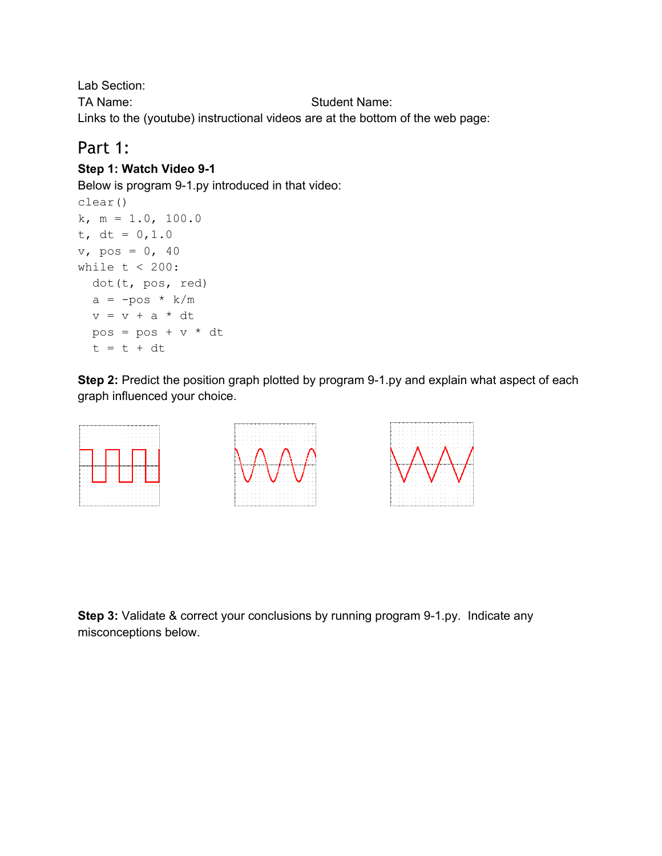Lab Section: TA Name: Student Name: Links to the (youtube) instructional videos are at the bottom of the web page:

### Part 1:

#### **Step 1: Watch Video 91**

Below is program 9-1.py introduced in that video:

```
clear()
k, m = 1.0, 100.0
t, dt = 0, 1.0v, \text{pos} = 0, 40while t < 200:
 dot(t, pos, red)
 a = -pos * k/mv = v + a * dtpos = pos + v * dtt = t + dt
```
**Step 2:** Predict the position graph plotted by program 9-1.py and explain what aspect of each graph influenced your choice.



**Step 3:** Validate & correct your conclusions by running program 9-1.py. Indicate any misconceptions below.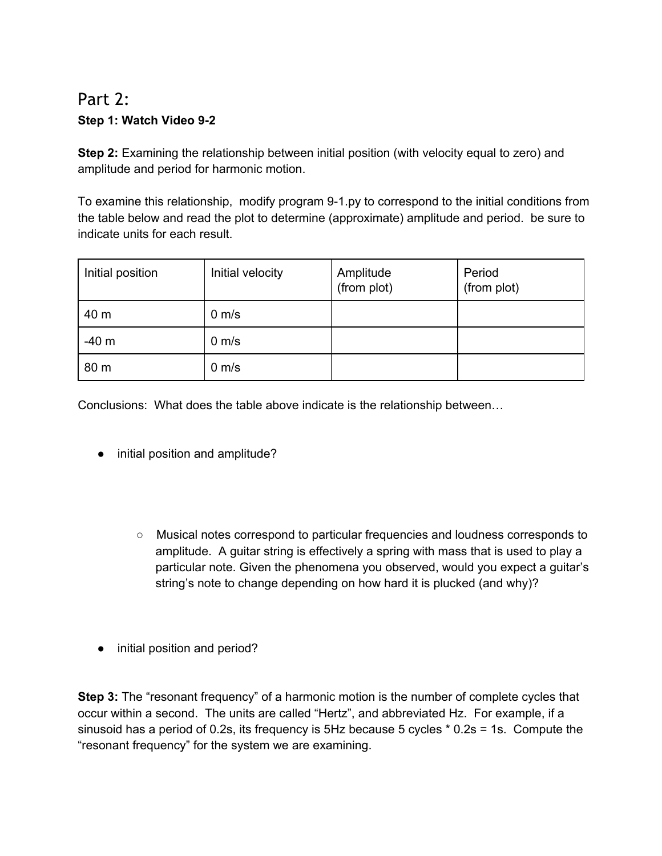## Part 2: **Step 1: Watch Video 92**

**Step 2:** Examining the relationship between initial position (with velocity equal to zero) and amplitude and period for harmonic motion.

To examine this relationship, modify program 9-1.py to correspond to the initial conditions from the table below and read the plot to determine (approximate) amplitude and period. be sure to indicate units for each result.

| Initial position | Initial velocity  | Amplitude<br>(from plot) | Period<br>(from plot) |
|------------------|-------------------|--------------------------|-----------------------|
| 40 m             | $0 \text{ m/s}$   |                          |                       |
| $-40m$           | $0 \text{ m/s}$   |                          |                       |
| 80 m             | $0 \, \text{m/s}$ |                          |                       |

Conclusions: What does the table above indicate is the relationship between…

- initial position and amplitude?
	- Musical notes correspond to particular frequencies and loudness corresponds to amplitude. A guitar string is effectively a spring with mass that is used to play a particular note. Given the phenomena you observed, would you expect a guitar's string's note to change depending on how hard it is plucked (and why)?
- initial position and period?

**Step 3:** The "resonant frequency" of a harmonic motion is the number of complete cycles that occur within a second. The units are called "Hertz", and abbreviated Hz. For example, if a sinusoid has a period of 0.2s, its frequency is 5Hz because 5 cycles \* 0.2s = 1s. Compute the "resonant frequency" for the system we are examining.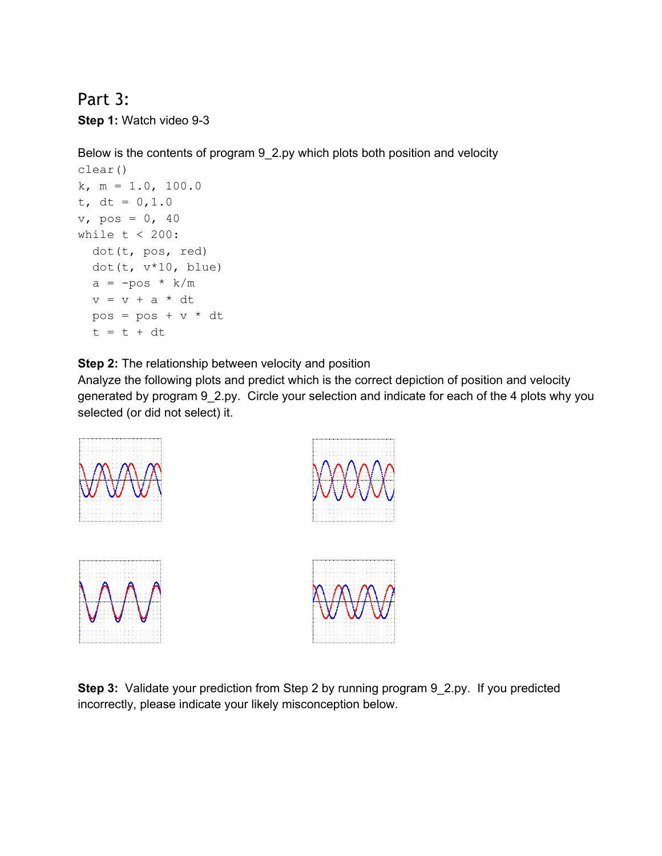#### Part 3:

**Step 1: Watch video 9-3** 

Below is the contents of program 9\_2.py which plots both position and velocity

```
clear()
k, m = 1.0, 100.0
t, dt = 0, 1.0v<sub>r</sub> pos = 0, 40
while t < 200:
  dot(t, pos, red)
  dot(t, v*10, blue)
  a = -pos * k/mv = v + a * dtpos = pos + v * dtt = t + dt
```
**Step 2:** The relationship between velocity and position

Analyze the following plots and predict which is the correct depiction of position and velocity generated by program 9\_2.py. Circle your selection and indicate for each of the 4 plots why you selected (or did not select) it.









**Step 3:** Validate your prediction from Step 2 by running program 9\_2.py. If you predicted incorrectly, please indicate your likely misconception below.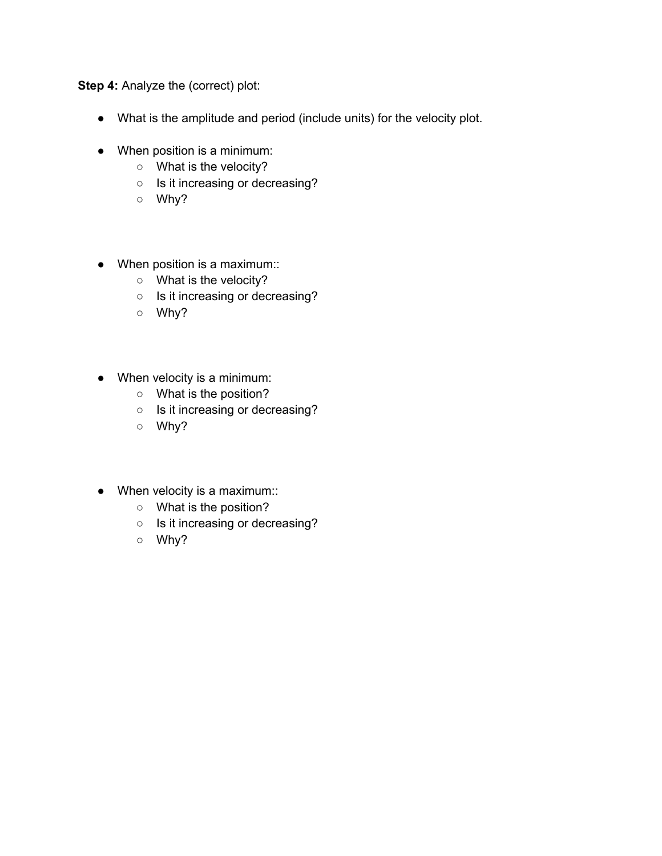**Step 4:** Analyze the (correct) plot:

- What is the amplitude and period (include units) for the velocity plot.
- When position is a minimum:
	- What is the velocity?
	- Is it increasing or decreasing?
	- Why?
- When position is a maximum::
	- What is the velocity?
	- Is it increasing or decreasing?
	- Why?
- When velocity is a minimum:
	- What is the position?
	- Is it increasing or decreasing?
	- Why?
- When velocity is a maximum::
	- What is the position?
	- Is it increasing or decreasing?
	- Why?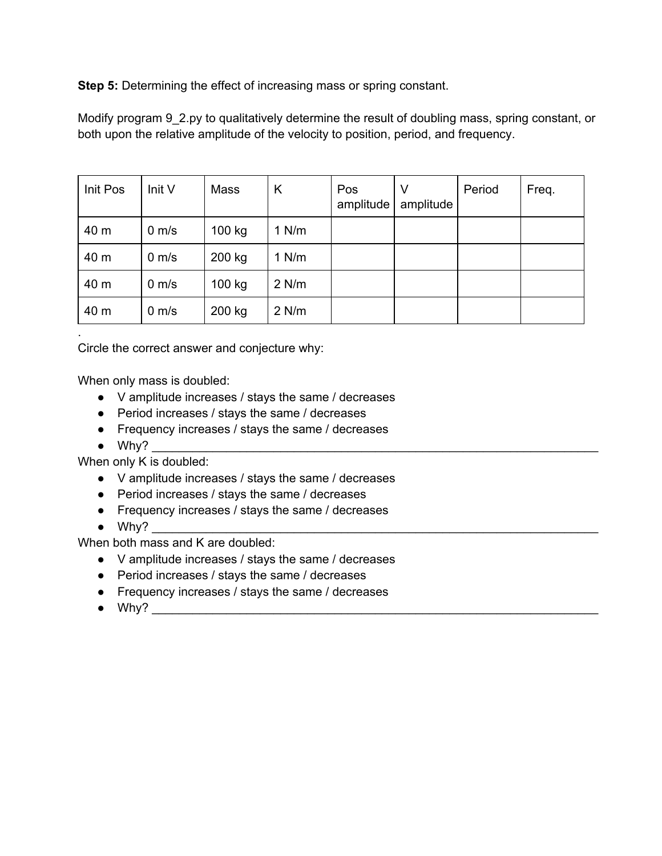**Step 5:** Determining the effect of increasing mass or spring constant.

Modify program 9\_2.py to qualitatively determine the result of doubling mass, spring constant, or both upon the relative amplitude of the velocity to position, period, and frequency.

| Init Pos | Init V            | Mass   | K       | Pos<br>amplitude | V<br>amplitude | Period | Freq. |
|----------|-------------------|--------|---------|------------------|----------------|--------|-------|
| 40 m     | $0 \, \text{m/s}$ | 100 kg | $1$ N/m |                  |                |        |       |
| 40 m     | $0 \text{ m/s}$   | 200 kg | $1$ N/m |                  |                |        |       |
| 40 m     | $0 \text{ m/s}$   | 100 kg | $2$ N/m |                  |                |        |       |
| 40 m     | $0 \, \text{m/s}$ | 200 kg | $2$ N/m |                  |                |        |       |

Circle the correct answer and conjecture why:

When only mass is doubled:

- V amplitude increases / stays the same / decreases
- Period increases / stays the same / decreases
- Frequency increases / stays the same / decreases
- $\bullet$  Why?

.

When only K is doubled:

- V amplitude increases / stays the same / decreases
- Period increases / stays the same / decreases
- Frequency increases / stays the same / decreases
- $\bullet$  Why?

When both mass and K are doubled:

- V amplitude increases / stays the same / decreases
- Period increases / stays the same / decreases
- Frequency increases / stays the same / decreases
- Why? \_\_\_\_\_\_\_\_\_\_\_\_\_\_\_\_\_\_\_\_\_\_\_\_\_\_\_\_\_\_\_\_\_\_\_\_\_\_\_\_\_\_\_\_\_\_\_\_\_\_\_\_\_\_\_\_\_\_\_\_\_\_\_\_\_\_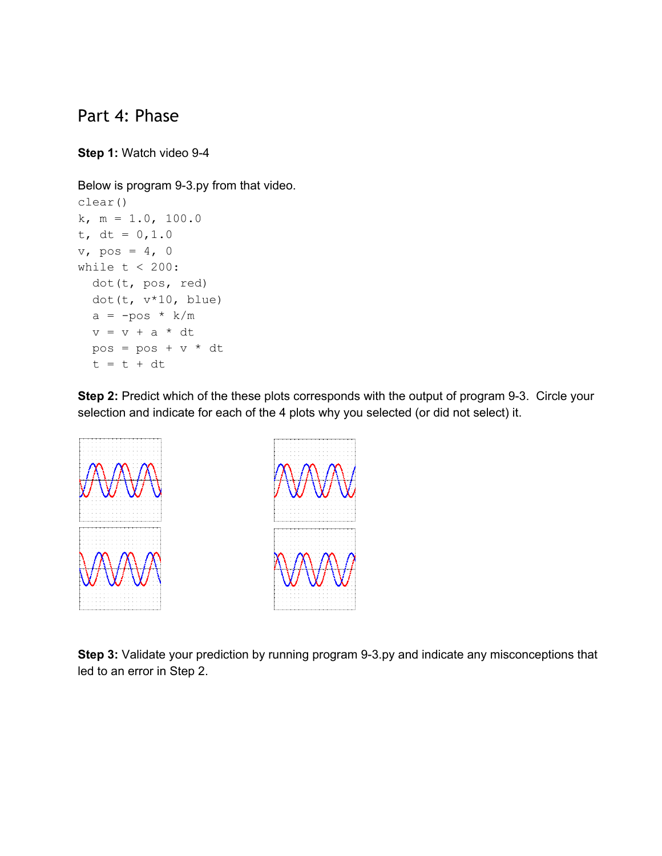#### Part 4: Phase

**Step 1: Watch video 9-4** 

Below is program 9-3.py from that video.

```
clear()
k, m = 1.0, 100.0
t, dt = 0, 1.0v_, pos = 4, 0
while t < 200:
 dot(t, pos, red)
 dot(t, v*10, blue)
  a = -pos * k/mv = v + a * dtpos = pos + v * dtt = t + dt
```
**Step 2:** Predict which of the these plots corresponds with the output of program 9-3. Circle your selection and indicate for each of the 4 plots why you selected (or did not select) it.



**Step 3:** Validate your prediction by running program 9-3.py and indicate any misconceptions that led to an error in Step 2.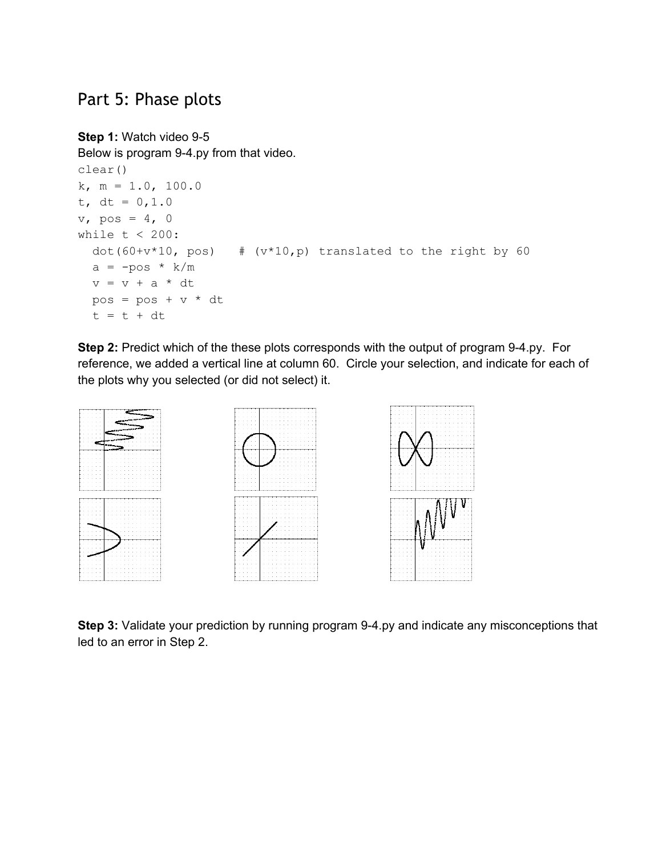### Part 5: Phase plots

```
Step 1: Watch video 9-5
```
Below is program 9-4.py from that video.

```
clear()
k, m = 1.0, 100.0
t, dt = 0, 1.0v, \text{pos} = 4, 0while t < 200:
 dot(60+v*10, pos) # (v*10,p) translated to the right by 60
  a = -pos * k/mv = v + a * dtpos = pos + v * dtt = t + dt
```
**Step 2:** Predict which of the these plots corresponds with the output of program 9-4.py. For reference, we added a vertical line at column 60. Circle your selection, and indicate for each of the plots why you selected (or did not select) it.



**Step 3:** Validate your prediction by running program 9-4.py and indicate any misconceptions that led to an error in Step 2.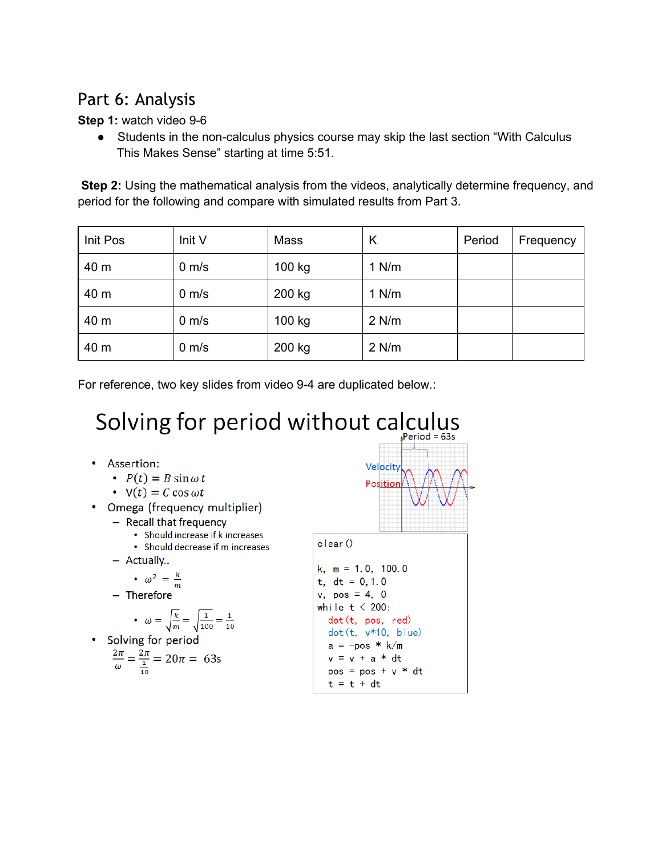# Part 6: Analysis

**Step 1:** watch video 9-6

• Students in the non-calculus physics course may skip the last section "With Calculus This Makes Sense" starting at time 5:51.

**Step 2:** Using the mathematical analysis from the videos, analytically determine frequency, and period for the following and compare with simulated results from Part 3.

| Init Pos | Init V          | Mass   | Κ       | Period | Frequency |
|----------|-----------------|--------|---------|--------|-----------|
| 40 m     | $0 \text{ m/s}$ | 100 kg | $1$ N/m |        |           |
| 40 m     | $0 \text{ m/s}$ | 200 kg | $1$ N/m |        |           |
| 40 m     | $0 \text{ m/s}$ | 100 kg | $2$ N/m |        |           |
| 40 m     | $0 \text{ m/s}$ | 200 kg | $2$ N/m |        |           |

For reference, two key slides from video 9-4 are duplicated below.:

#### Solving for period without calculus  $Period = 63s$

- Assertion:
	- $P(t) = B \sin \omega t$
	- $\cdot$  V(t) = C cos  $\omega t$
- Omega (frequency multiplier)
	- Recall that frequency
		- Should increase if k increases • Should decrease if m increases
	- Actually..

$$
\bullet \ \omega^2 = \frac{k}{2}
$$

 $\boldsymbol{m}$ - Therefore

• 
$$
\omega = \sqrt{\frac{k}{m}} = \sqrt{\frac{1}{100}} = \frac{1}{10}
$$

Solving for period  
\n
$$
\frac{2\pi}{\omega} = \frac{2\pi}{\frac{1}{10}} = 20\pi = 63s
$$



 $\text{clear}()$ 

```
k, m = 1.0, 100.0t, dt = 0, 1, 0v, pos = 4, 0while t < 200:
 dot (t, pos, red)
 dot(t, v*10, blue)a = -pos * k/mv = v + a * dtpos = pos + v * dtt = t + dt
```